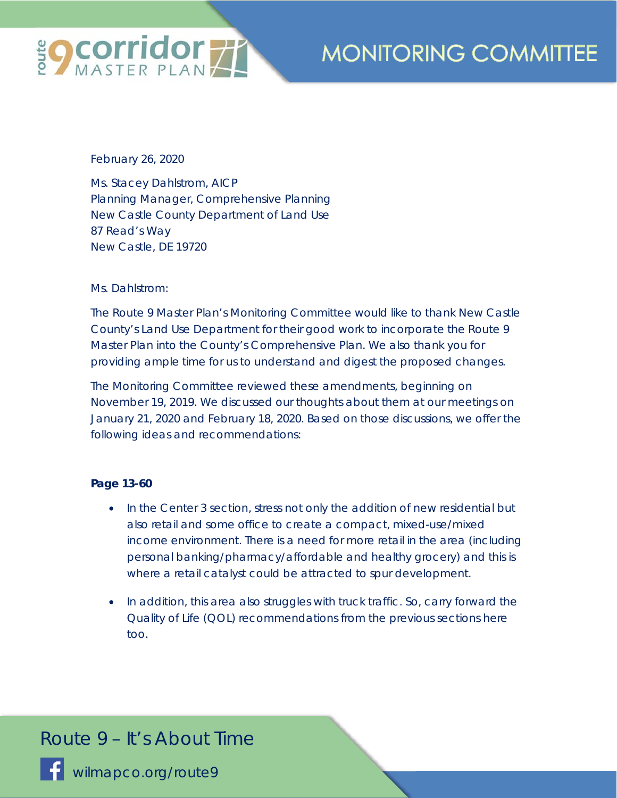

February 26, 2020

Ms. Stacey Dahlstrom, AICP Planning Manager, Comprehensive Planning New Castle County Department of Land Use 87 Read's Way New Castle, DE 19720

### Ms. Dahlstrom:

The Route 9 Master Plan's Monitoring Committee would like to thank New Castle County's Land Use Department for their good work to incorporate the Route 9 Master Plan into the County's Comprehensive Plan. We also thank you for providing ample time for us to understand and digest the proposed changes.

The Monitoring Committee reviewed these amendments, beginning on November 19, 2019. We discussed our thoughts about them at our meetings on January 21, 2020 and February 18, 2020. Based on those discussions, we offer the following ideas and recommendations:

### **Page 13-60**

- In the Center 3 section, stress not only the addition of new residential but also retail and some office to create a compact, mixed-use/mixed income environment. There is a need for more retail in the area (including personal banking/pharmacy/affordable and healthy grocery) and this is where a retail catalyst could be attracted to spur development.
- In addition, this area also struggles with truck traffic. So, carry forward the Quality of Life (QOL) recommendations from the previous sections here too.

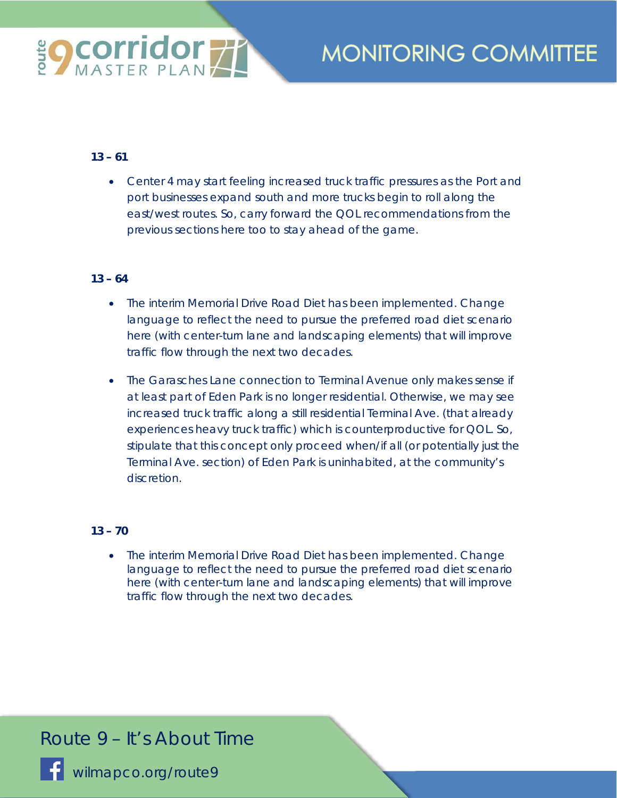

### **13 – 61**

• Center 4 may start feeling increased truck traffic pressures as the Port and port businesses expand south and more trucks begin to roll along the east/west routes. So, carry forward the QOL recommendations from the previous sections here too to stay ahead of the game.

### **13 – 64**

- The interim Memorial Drive Road Diet has been implemented. Change language to reflect the need to pursue the preferred road diet scenario here (with center-turn lane and landscaping elements) that will improve traffic flow through the next two decades.
- The Garasches Lane connection to Terminal Avenue only makes sense if at least part of Eden Park is no longer residential. Otherwise, we may see increased truck traffic along a still residential Terminal Ave. (that already experiences heavy truck traffic) which is counterproductive for QOL. So, stipulate that this concept only proceed when/if all (or potentially just the Terminal Ave. section) of Eden Park is uninhabited, at the community's discretion.

### **13 – 70**

• The interim Memorial Drive Road Diet has been implemented. Change language to reflect the need to pursue the preferred road diet scenario here (with center-turn lane and landscaping elements) that will improve traffic flow through the next two decades.

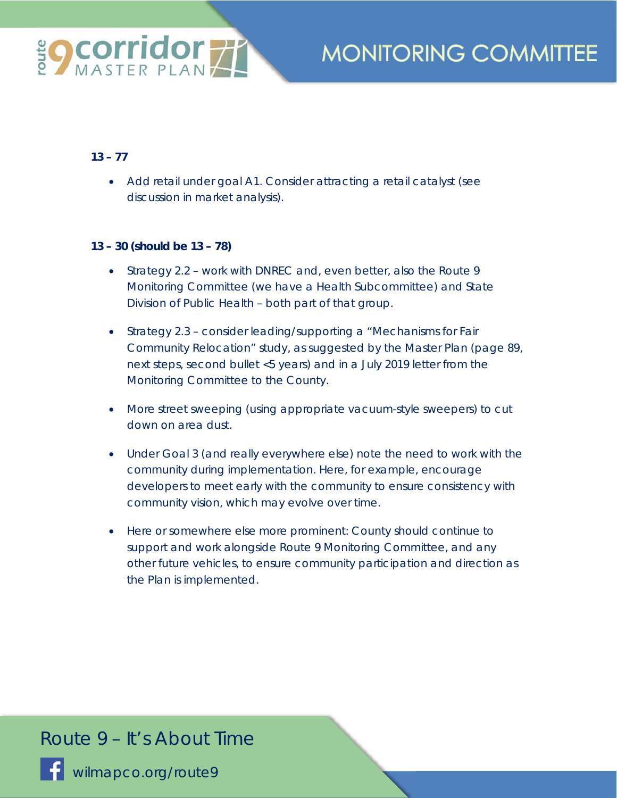

### **13 – 77**

• Add retail under goal A1. Consider attracting a retail catalyst (see discussion in market analysis).

### **13 – 30 (should be 13 – 78)**

- Strategy 2.2 work with DNREC and, even better, also the Route 9 Monitoring Committee (we have a Health Subcommittee) and State Division of Public Health – both part of that group.
- Strategy 2.3 consider leading/supporting a "Mechanisms for Fair Community Relocation" study, as suggested by the Master Plan (page 89, next steps, second bullet <5 years) and in a July 2019 letter from the Monitoring Committee to the County.
- More street sweeping (using appropriate vacuum-style sweepers) to cut down on area dust.
- Under Goal 3 (and really everywhere else) note the need to work with the community during implementation. Here, for example, encourage developers to meet early with the community to ensure consistency with community vision, which may evolve over time.
- Here or somewhere else more prominent: County should continue to support and work alongside Route 9 Monitoring Committee, and any other future vehicles, to ensure community participation and direction as the Plan is implemented.

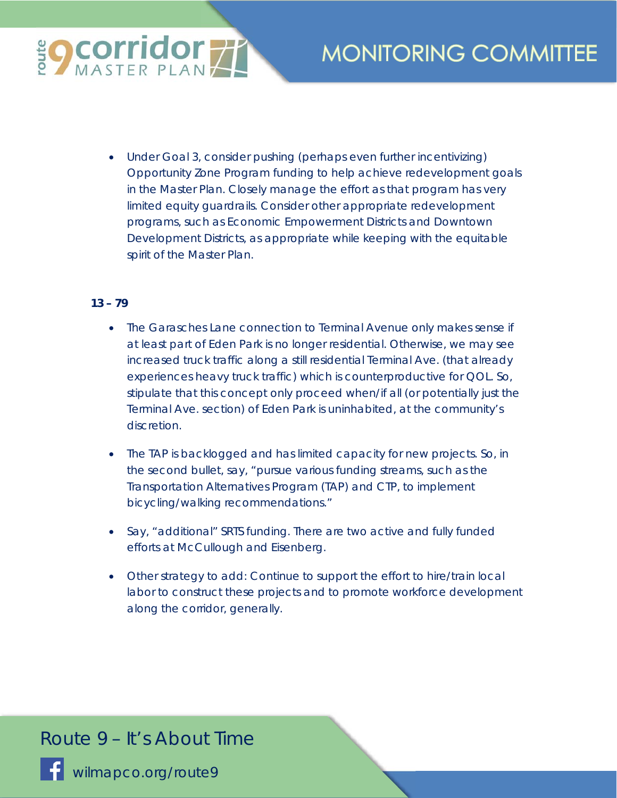

• Under Goal 3, consider pushing (perhaps even further incentivizing) Opportunity Zone Program funding to help achieve redevelopment goals in the Master Plan. Closely manage the effort as that program has very limited equity guardrails. Consider other appropriate redevelopment programs, such as Economic Empowerment Districts and Downtown Development Districts, as appropriate while keeping with the equitable spirit of the Master Plan.

### **13 – 79**

- The Garasches Lane connection to Terminal Avenue only makes sense if at least part of Eden Park is no longer residential. Otherwise, we may see increased truck traffic along a still residential Terminal Ave. (that already experiences heavy truck traffic) which is counterproductive for QOL. So, stipulate that this concept only proceed when/if all (or potentially just the Terminal Ave. section) of Eden Park is uninhabited, at the community's discretion.
- The TAP is backlogged and has limited capacity for new projects. So, in the second bullet, say, "pursue various funding streams, such as the Transportation Alternatives Program (TAP) and CTP, to implement bicycling/walking recommendations."
- Say, "additional" SRTS funding. There are two active and fully funded efforts at McCullough and Eisenberg.
- Other strategy to add: Continue to support the effort to hire/train local labor to construct these projects and to promote workforce development along the corridor, generally.